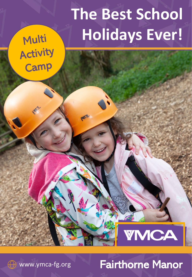# **The Best School Holidays Ever!**

Multi Activity Camp



#### 1 www.ymca-fg.org **Fairthorne Manor**